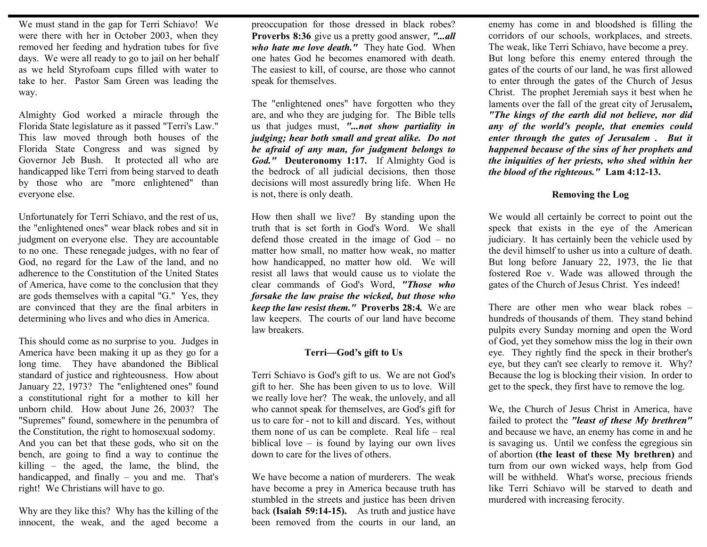We must stand in the gap for Terri Schiavo! We were there with her in October 2003, when they removed her feeding and hydration tubes for five days. We were all ready to go to jail on her behalf as we held Styrofoam cups filled with water to take to her. Pastor Sam Green was leading the way.

Almighty God worked a miracle through the Florida State legislature as it passed "Terri's Law." This law moved through both houses of the Florida State Congress and was signed by Governor Jeb Bush. It protected all who are handicapped like Terri from being starved to death by those who are "more enlightened" than everyone else.

Unfortunately for Terri Schiavo, and the rest of us, the "enlightened ones" wear black robes and sit in judgment on everyone else. They are accountable to no one. These renegade judges, with no fear of God, no regard for the Law of the land, and no adherence to the Constitution of the United States of America, have come to the conclusion that they are gods themselves with a capital "G." Yes, they are convinced that they are the final arbiters in determining who lives and who dies in America.

This should come as no surprise to you. Judges in America have been making it up as they go for a long time. They have abandoned the Biblical standard of justice and righteousness. How about January 22, 1973? The "enlightened ones" found a constitutional right for a mother to kill her unborn child. How about June 26, 2003? The "Supremes" found, somewhere in the penumbra of the Constitution, the right to homosexual sodomy. And you can bet that these gods, who sit on the bench, are going to find a way to continue the killing – the aged, the lame, the blind, the handicapped, and finally – you and me. That's right! We Christians will have to go.

Why are they like this? Why has the killing of the innocent, the weak, and the aged become a

preoccupation for those dressed in black robes? **Proverbs 8:36** give us a pretty good answer, *"...all who hate me love death."* They hate God. When one hates God he becomes enamored with death. The easiest to kill, of course, are those who cannot speak for themselves.

The "enlightened ones" have forgotten who they are, and who they are judging for. The Bible tells us that judges must, *"...not show partiality in judging; hear both small and great alike. Do not be afraid of any man, for judgment belongs to God."* **Deuteronomy 1:17.** If Almighty God is the bedrock of all judicial decisions, then those decisions will most assuredly bring life. When He is not, there is only death.

How then shall we live? By standing upon the truth that is set forth in God's Word. We shall defend those created in the image of God – no matter how small, no matter how weak, no matter how handicapped, no matter how old. We will resist all laws that would cause us to violate the clear commands of God's Word, *"Those who forsake the law praise the wicked, but those who keep the law resist them."* **Proverbs 28:4***.* We are law keepers. The courts of our land have become law breakers.

## **Terri—God's gift to Us**

Terri Schiavo is God's gift to us. We are not God's gift to her. She has been given to us to love. Will we really love her? The weak, the unlovely, and all who cannot speak for themselves, are God's gift for us to care for - not to kill and discard. Yes, without them none of us can be complete. Real life – real biblical love – is found by laying our own lives down to care for the lives of others.

We have become a nation of murderers. The weak have become a prey in America because truth has stumbled in the streets and justice has been driven back **(Isaiah 59:14-15).** As truth and justice have been removed from the courts in our land, an

enemy has come in and bloodshed is filling the corridors of our schools, workplaces, and streets. The weak, like Terri Schiavo, have become a prey. But long before this enemy entered through the gates of the courts of our land, he was first allowed to enter through the gates of the Church of Jesus Christ. The prophet Jeremiah says it best when he laments over the fall of the great city of Jerusalem**,**  *"The kings of the earth did not believe, nor did any of the world's people, that enemies could enter through the gates of Jerusalem . But it happened because of the sins of her prophets and the iniquities of her priests, who shed within her the blood of the righteous."* **Lam 4:12-13.** 

## **Removing the Log**

We would all certainly be correct to point out the speck that exists in the eye of the American judiciary. It has certainly been the vehicle used by the devil himself to usher us into a culture of death. But long before January 22, 1973, the lie that fostered Roe v. Wade was allowed through the gates of the Church of Jesus Christ. Yes indeed!

There are other men who wear black robes – hundreds of thousands of them. They stand behind pulpits every Sunday morning and open the Word of God, yet they somehow miss the log in their own eye. They rightly find the speck in their brother's eye, but they can't see clearly to remove it. Why? Because the log is blocking their vision. In order to get to the speck, they first have to remove the log.

We, the Church of Jesus Christ in America, have failed to protect the *"least of these My brethren"*  and because we have, an enemy has come in and he is savaging us. Until we confess the egregious sin of abortion **(the least of these My brethren)** and turn from our own wicked ways, help from God will be withheld. What's worse, precious friends like Terri Schiavo will be starved to death and murdered with increasing ferocity.